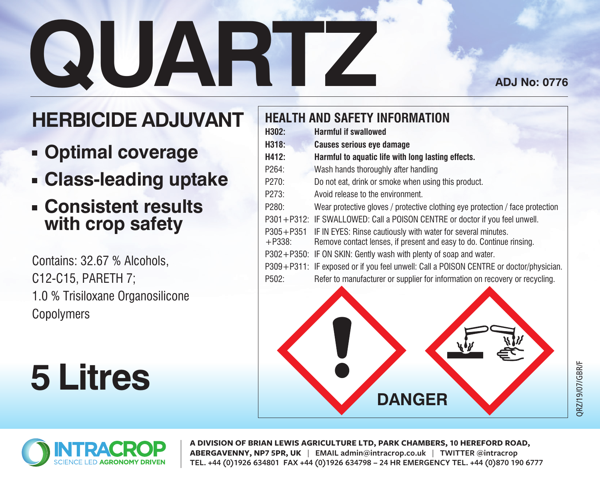# **QUARTZ**

**ADJ No: 0776**

## **HERBICIDE ADJUVANT**

- **Optimal coverage**
- **Class-leading uptake**
- **Consistent results with crop safety**

Contains: 32.67 % Alcohols, C12-C15, PARETH 7; 1.0 % Trisiloxane Organosilicone **Copolymers** 

**5 Litres**

## **HEALTH AND SAFETY INFORMATION H302: Harmful if swallowed H318: Causes serious eye damage H412: Harmful to aquatic life with long lasting effects.** P264: Wash hands thoroughly after handling P270: Do not eat, drink or smoke when using this product. P273: Avoid release to the environment. P280: Wear protective gloves / protective clothing eye protection / face protection P301+P312: IF SWALLOWED: Call a POISON CENTRE or doctor if you feel unwell. P305+P351 IF IN EYES: Rinse cautiously with water for several minutes.<br>+P338: Remove contact lenses if present and easy to do. Continue Remove contact lenses, if present and easy to do. Continue rinsing. P302+P350: IF ON SKIN: Gently wash with plenty of soap and water. P309+P311: IF exposed or if you feel unwell: Call a POISON CENTRE or doctor/physician. P502: Refer to manufacturer or supplier for information on recovery or recycling. **DANGER**



**A DIVISION OF BRIAN LEWIS AGRICULTURE LTD, PARK CHAMBERS, 10 HEREFORD ROAD, ABERGAVENNY, NP7 5PR, UK** | **EMAIL admin@intracrop.co.uk** | **TWITTER @intracrop TEL. +44 (0)1926 634801 FAX +44 (0)1926 634798 – 24 HR EMERGENCY TEL. +44 (0)870 190 6777**